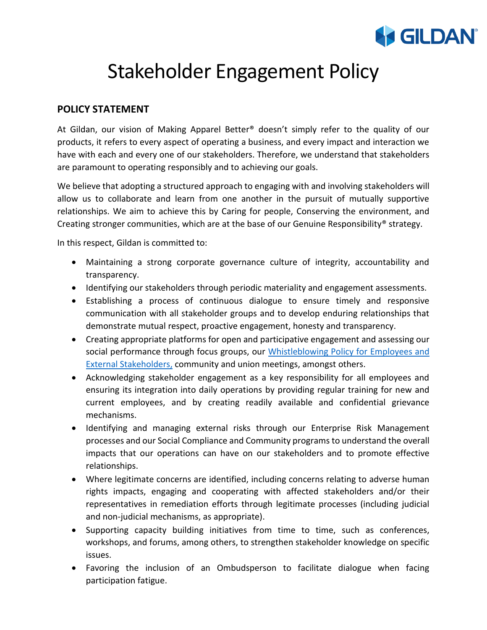## **GILDAN**

## Stakeholder Engagement Policy

## **POLICY STATEMENT**

At Gildan, our vision of Making Apparel Better® doesn't simply refer to the quality of our products, it refers to every aspect of operating a business, and every impact and interaction we have with each and every one of our stakeholders. Therefore, we understand that stakeholders are paramount to operating responsibly and to achieving our goals.

We believe that adopting a structured approach to engaging with and involving stakeholders will allow us to collaborate and learn from one another in the pursuit of mutually supportive relationships. We aim to achieve this by Caring for people, Conserving the environment, and Creating stronger communities, which are at the base of our Genuine Responsibility<sup>®</sup> strategy.

In this respect, Gildan is committed to:

- Maintaining a strong corporate governance culture of integrity, accountability and transparency.
- Identifying our stakeholders through periodic materiality and engagement assessments.
- Establishing a process of continuous dialogue to ensure timely and responsive communication with all stakeholder groups and to develop enduring relationships that demonstrate mutual respect, proactive engagement, honesty and transparency.
- Creating appropriate platforms for open and participative engagement and assessing our social performance through focus groups, our [Whistleblowing Policy for Employees and](https://secure.ethicspoint.eu/domain/media/en/gui/100213/index.html)  [External Stakeholders,](https://secure.ethicspoint.eu/domain/media/en/gui/100213/index.html) community and union meetings, amongst others.
- Acknowledging stakeholder engagement as a key responsibility for all employees and ensuring its integration into daily operations by providing regular training for new and current employees, and by creating readily available and confidential grievance mechanisms.
- Identifying and managing external risks through our Enterprise Risk Management processes and our Social Compliance and Community programs to understand the overall impacts that our operations can have on our stakeholders and to promote effective relationships.
- Where legitimate concerns are identified, including concerns relating to adverse human rights impacts, engaging and cooperating with affected stakeholders and/or their representatives in remediation efforts through legitimate processes (including judicial and non-judicial mechanisms, as appropriate).
- Supporting capacity building initiatives from time to time, such as conferences, workshops, and forums, among others, to strengthen stakeholder knowledge on specific issues.
- Favoring the inclusion of an Ombudsperson to facilitate dialogue when facing participation fatigue.